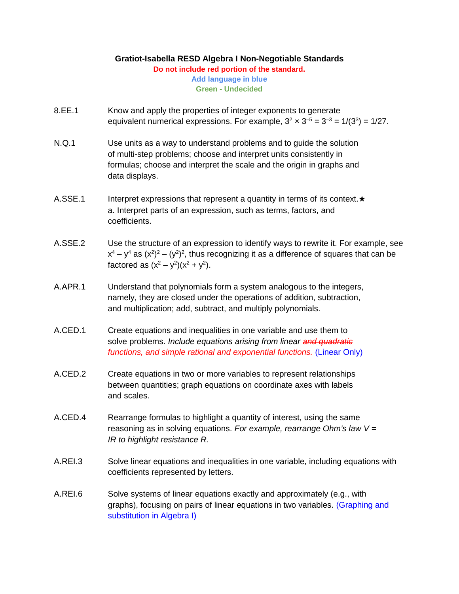## **Gratiot-Isabella RESD Algebra I Non-Negotiable Standards**

**Do not include red portion of the standard.**

**Add language in blue Green - Undecided**

- 8.EE.1 Know and apply the properties of integer exponents to generate equivalent numerical expressions. For example,  $3^2 \times 3^{-5} = 3^{-3} = 1/(3^3) = 1/27$ .
- N.Q.1 Use units as a way to understand problems and to guide the solution of multi-step problems; choose and interpret units consistently in formulas; choose and interpret the scale and the origin in graphs and data displays.
- A.SSE.1 Interpret expressions that represent a quantity in terms of its context.★ a. Interpret parts of an expression, such as terms, factors, and coefficients.
- A.SSE.2 Use the structure of an expression to identify ways to rewrite it. For example, see  $x^4 - y^4$  as  $(x^2)^2 - (y^2)^2$ , thus recognizing it as a difference of squares that can be factored as  $(x^2 - y^2)(x^2 + y^2)$ .
- A.APR.1 Understand that polynomials form a system analogous to the integers, namely, they are closed under the operations of addition, subtraction, and multiplication; add, subtract, and multiply polynomials.
- A.CED.1 Create equations and inequalities in one variable and use them to solve problems. *Include equations arising from linear and quadratic functions, and simple rational and exponential functions.* (Linear Only)
- A.CED.2 Create equations in two or more variables to represent relationships between quantities; graph equations on coordinate axes with labels and scales.
- A.CED.4 Rearrange formulas to highlight a quantity of interest, using the same reasoning as in solving equations. *For example, rearrange Ohm's law V = IR to highlight resistance R.*
- A.REI.3 Solve linear equations and inequalities in one variable, including equations with coefficients represented by letters.
- A.REI.6 Solve systems of linear equations exactly and approximately (e.g., with graphs), focusing on pairs of linear equations in two variables. (Graphing and substitution in Algebra I)